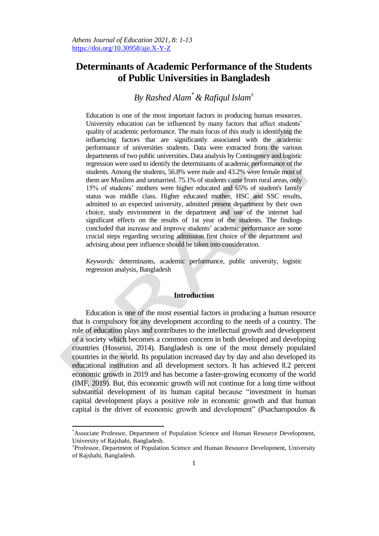# **Determinants of Academic Performance of the Students of Public Universities in Bangladesh**

# *By Rashed Alam\*& Rafiqul Islam<sup>±</sup>*

Education is one of the most important factors in producing human resources. University education can be influenced by many factors that affect students' quality of academic performance. The main focus of this study is identifying the influencing factors that are significantly associated with the academic performance of universities students. Data were extracted from the various departments of two public universities. Data analysis by Contingency and logistic regression were used to identify the determinants of academic performance of the students. Among the students, 56.8% were male and 43.2% were female most of them are Muslims and unmarried. 75.1% of students came from rural areas, only 15% of students" mothers were higher educated and 65% of student's family status was middle class. Higher educated mother, HSC and SSC results, admitted to an expected university, admitted present department by their own choice, study environment in the department and use of the internet had significant effects on the results of 1st year of the students. The findings concluded that increase and improve students" academic performance are some crucial steps regarding securing admission first choice of the department and advising about peer influence should be taken into consideration.

*Keywords:* determinants, academic performance, public university, logistic regression analysis, Bangladesh

## **Introduction**

Education is one of the most essential factors in producing a human resource that is compulsory for any development according to the needs of a country. The role of education plays and contributes to the intellectual growth and development of a society which becomes a common concern in both developed and developing countries (Hosseini, 2014). Bangladesh is one of the most densely populated countries in the world. Its population increased day by day and also developed its educational institution and all development sectors. It has achieved 8.2 percent economic growth in 2019 and has become a faster-growing economy of the world (IMF, 2019). But, this economic growth will not continue for a long time without substantial development of its human capital because "investment in human capital development plays a positive role in economic growth and that human capital is the driver of economic growth and development" (Psacharopoulos &

 $\overline{a}$ 

<sup>\*</sup>Associate Professor, Department of Population Science and Human Resource Development, University of Rajshahi, Bangladesh.

<sup>±</sup> Professor, Department of Population Science and Human Resource Development, University of Rajshahi, Bangladesh.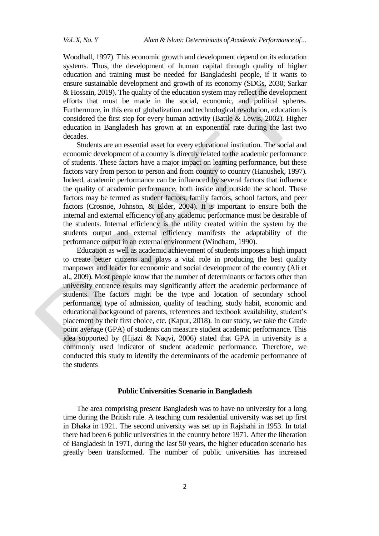Woodhall, 1997). This economic growth and development depend on its education systems. Thus, the development of human capital through quality of higher education and training must be needed for Bangladeshi people, if it wants to ensure sustainable development and growth of its economy (SDGs, 2030; Sarkar & Hossain, 2019). The quality of the education system may reflect the development efforts that must be made in the social, economic, and political spheres. Furthermore, in this era of globalization and technological revolution, education is considered the first step for every human activity (Battle & Lewis, 2002). Higher education in Bangladesh has grown at an exponential rate during the last two decades.

Students are an essential asset for every educational institution. The social and economic development of a country is directly related to the academic performance of students. These factors have a major impact on learning performance, but these factors vary from person to person and from country to country (Hanushek, 1997). Indeed, academic performance can be influenced by several factors that influence the quality of academic performance, both inside and outside the school. These factors may be termed as student factors, family factors, school factors, and peer factors (Crosnoe, Johnson, & Elder, 2004). It is important to ensure both the internal and external efficiency of any academic performance must be desirable of the students. Internal efficiency is the utility created within the system by the students output and external efficiency manifests the adaptability of the performance output in an external environment (Windham, 1990).

Education as well as academic achievement of students imposes a high impact to create better citizens and plays a vital role in producing the best quality manpower and leader for economic and social development of the country (Ali et al., 2009). Most people know that the number of determinants or factors other than university entrance results may significantly affect the academic performance of students. The factors might be the type and location of secondary school performance, type of admission, quality of teaching, study habit, economic and educational background of parents, references and textbook availability, student"s placement by their first choice, etc. (Kapur, 2018). In our study, we take the Grade point average (GPA) of students can measure student academic performance. This idea supported by (Hijazi & Naqvi, 2006) stated that GPA in university is a commonly used indicator of student academic performance. Therefore, we conducted this study to identify the determinants of the academic performance of the students

### **Public Universities Scenario in Bangladesh**

The area comprising present Bangladesh was to have no university for a long time during the British rule. A teaching cum residential university was set up first in Dhaka in 1921. The second university was set up in Rajshahi in 1953. In total there had been 6 public universities in the country before 1971. After the liberation of Bangladesh in 1971, during the last 50 years, the higher education scenario has greatly been transformed. The number of public universities has increased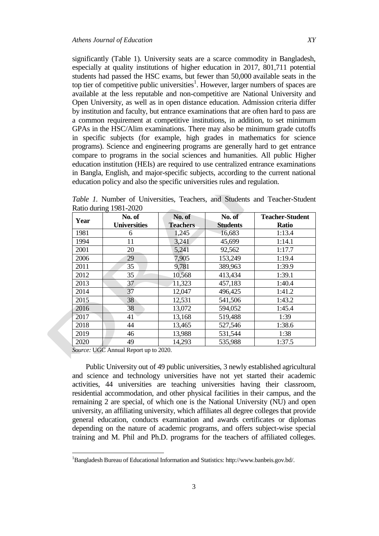significantly (Table 1). University seats are a scarce commodity in Bangladesh, especially at quality institutions of higher education in 2017, 801,711 potential students had passed the HSC exams, but [fewer than 50,000](https://www.thedailystar.net/supplements/nation-builders-tomorrow/integrated-admission-test-public-universities-bangladesh) available seats in the top tier of competitive public universities<sup>1</sup>. However, larger numbers of spaces are available at the less reputable and non-competitive are National University and Open University, as well as in open distance education. Admission criteria differ by institution and faculty, but entrance examinations that are often hard to pass are a common requirement at competitive institutions, in addition, to set minimum GPAs in the HSC/Alim examinations. There may also be minimum grade cutoffs in specific subjects (for example, high grades in mathematics for science programs). Science and engineering programs are generally hard to get entrance compare to programs in the social sciences and humanities. All public Higher education institution (HEIs) are required to use centralized entrance examinations in Bangla, English, and major-specific subjects, according to the current national [education policy](https://reliefweb.int/sites/reliefweb.int/files/resources/02.National-Education-Policy-2010-English.pdf) and also the specific universities rules and regulation.

|      | INALIO GALINE 1701-2020<br>No. of | No. of          | No. of          | <b>Teacher-Student</b> |  |
|------|-----------------------------------|-----------------|-----------------|------------------------|--|
| Year | <b>Universities</b>               | <b>Teachers</b> | <b>Students</b> | Ratio                  |  |
| 1981 | 6                                 | 1,245           | 16,683          | 1:13.4                 |  |
| 1994 | 11                                | 3,241           | 45,699          | 1:14.1                 |  |
| 2001 | 20                                | 5,241           | 92,562          | 1:17.7                 |  |
| 2006 | 29                                | 7,905           | 153,249         | 1:19.4                 |  |
| 2011 | 35                                | 9,781           | 389,963         | 1:39.9                 |  |
| 2012 | 35                                | 10,568          | 413,434         | 1:39.1                 |  |
| 2013 | 37                                | 11,323          | 457,183         | 1:40.4                 |  |
| 2014 | 37                                | 12,047          | 496,425         | 1:41.2                 |  |
| 2015 | 38                                | 12,531          | 541,506         | 1:43.2                 |  |
| 2016 | 38                                | 13,072          | 594,052         | 1:45.4                 |  |
| 2017 | 41                                | 13,168          | 519,488         | 1:39                   |  |
| 2018 | 44                                | 13,465          | 527,546         | 1:38.6                 |  |
| 2019 | 46                                | 13,988          | 531,544         | 1:38                   |  |
| 2020 | 49                                | 14,293          | 535,988         | 1:37.5                 |  |

*Table 1.* Number of Universities, Teachers, and Students and Teacher-Student Ratio during 1981-2020

*Source:* UGC Annual Report up to 2020.

 $\overline{a}$ 

Public University out of 49 public universities, 3 newly established agricultural and science and technology universities have not yet started their academic activities, 44 universities are teaching universities having their classroom, residential accommodation, and other physical facilities in their campus, and the remaining 2 are special, of which one is the National University (NU) and open university, an affiliating university, which affiliates all degree colleges that provide general education, conducts examination and awards certificates or diplomas depending on the nature of academic programs, and offers subject-wise special training and M. Phil and Ph.D. programs for the teachers of affiliated colleges.

<sup>1</sup>Bangladesh Bureau of Educational Information and Statistics[: http://www.banbeis.gov.bd/.](http://www.banbeis.gov.bd/)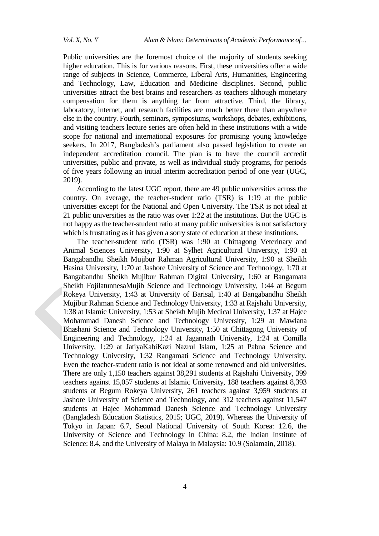Public universities are the foremost choice of the majority of students seeking higher education. This is for various reasons. First, these universities offer a wide range of subjects in Science, Commerce, Liberal Arts, Humanities, Engineering and Technology, Law, Education and Medicine disciplines. Second, public universities attract the best brains and researchers as teachers although monetary compensation for them is anything far from attractive. Third, the library, laboratory, internet, and research facilities are much better there than anywhere else in the country. Fourth, seminars, symposiums, workshops, debates, exhibitions, and visiting teachers lecture series are often held in these institutions with a wide scope for national and international exposures for promising young knowledge seekers. In 2017, Bangladesh's parliament also passed legislation to create an independent accreditation council. The plan is to have the council accredit universities, public and private, as well as individual study programs, for periods of five years following an initial interim accreditation period of one year (UGC, 2019).

According to the latest UGC report, there are 49 public universities across the country. On average, the teacher-student ratio (TSR) is 1:19 at the public universities except for the National and Open University. The TSR is not ideal at 21 public universities as the ratio was over 1:22 at the institutions. But the UGC is not happy as the teacher-student ratio at many public universities is not satisfactory which is frustrating as it has given a sorry state of education at these institutions.

The teacher-student ratio (TSR) was 1:90 at Chittagong Veterinary and Animal Sciences University, 1:90 at Sylhet Agricultural University, 1:90 at Bangabandhu Sheikh Mujibur Rahman Agricultural University, 1:90 at Sheikh Hasina University, 1:70 at Jashore University of Science and Technology, 1:70 at Bangabandhu Sheikh Mujibur Rahman Digital University, 1:60 at Bangamata Sheikh FojilatunnesaMujib Science and Technology University, 1:44 at Begum Rokeya University, 1:43 at University of Barisal, 1:40 at Bangabandhu Sheikh Mujibur Rahman Science and Technology University, 1:33 at Rajshahi University, 1:38 at Islamic University, 1:53 at Sheikh Mujib Medical University, 1:37 at Hajee Mohammad Danesh Science and Technology University, 1:29 at Mawlana Bhashani Science and Technology University, 1:50 at Chittagong University of Engineering and Technology, 1:24 at Jagannath University, 1:24 at Comilla University, 1:29 at JatiyaKabiKazi Nazrul Islam, 1:25 at Pabna Science and Technology University, 1:32 Rangamati Science and Technology University. Even the teacher-student ratio is not ideal at some renowned and old universities. There are only 1,150 teachers against 38,291 students at Rajshahi University, 399 teachers against 15,057 students at Islamic University, 188 teachers against 8,393 students at Begum Rokeya University, 261 teachers against 3,959 students at Jashore University of Science and Technology, and 312 teachers against 11,547 students at Hajee Mohammad Danesh Science and Technology University (Bangladesh Education Statistics, 2015; UGC, 2019). Whereas the University of Tokyo in Japan: 6.7, Seoul National University of South Korea: 12.6, the University of Science and Technology in China: 8.2, the Indian Institute of Science: 8.4, and the University of Malaya in Malaysia: 10.9 (Solamain, 2018).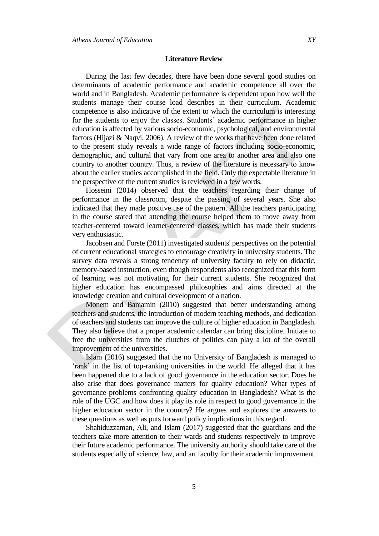#### **Literature Review**

During the last few decades, there have been done several good studies on determinants of academic performance and academic competence all over the world and in Bangladesh. Academic performance is dependent upon how well the students manage their course load describes in their curriculum. Academic competence is also indicative of the extent to which the curriculum is interesting for the students to enjoy the classes. Students' academic performance in higher education is affected by various socio-economic, psychological, and environmental factors (Hijazi & Naqvi, 2006). A review of the works that have been done related to the present study reveals a wide range of factors including socio-economic, demographic, and cultural that vary from one area to another area and also one country to another country. Thus, a review of the literature is necessary to know about the earlier studies accomplished in the field. Only the expectable literature in the perspective of the current studies is reviewed in a few words.

Hosseini (2014) observed that the teachers regarding their change of performance in the classroom, despite the passing of several years. She also indicated that they made positive use of the pattern. All the teachers participating in the course stated that attending the course helped them to move away from teacher-centered toward learner-centered classes, which has made their students very enthusiastic.

Jacobsen and Forste (2011) investigated students' perspectives on the potential of current educational strategies to encourage creativity in university students. The survey data reveals a strong tendency of university faculty to rely on didactic, memory-based instruction, even though respondents also recognized that this form of learning was not motivating for their current students. She recognized that higher education has encompassed philosophies and aims directed at the knowledge creation and cultural development of a nation.

Monem and Baniamin (2010) suggested that better understanding among teachers and students, the introduction of modern teaching methods, and dedication of teachers and students can improve the culture of higher education in Bangladesh. They also believe that a proper academic calendar can bring discipline. Initiate to free the universities from the clutches of politics can play a lot of the overall improvement of the universities.

Islam (2016) suggested that the no University of Bangladesh is managed to 'rank' in the list of top-ranking universities in the world. He alleged that it has been happened due to a lack of good governance in the education sector. Does he also arise that does governance matters for quality education? What types of governance problems confronting quality education in Bangladesh? What is the role of the UGC and how does it play its role in respect to good governance in the higher education sector in the country? He argues and explores the answers to these questions as well as puts forward policy implications in this regard.

Shahiduzzaman, Ali, and Islam (2017) suggested that the guardians and the teachers take more attention to their wards and students respectively to improve their future academic performance. The university authority should take care of the students especially of science, law, and art faculty for their academic improvement.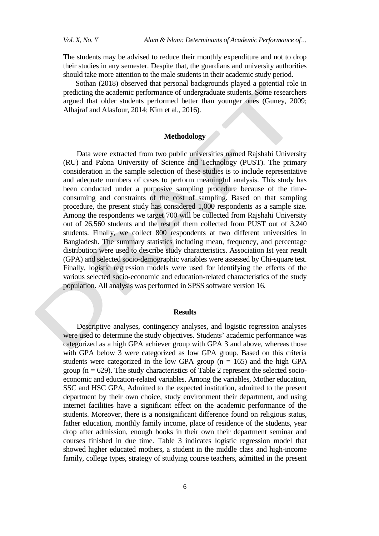The students may be advised to reduce their monthly expenditure and not to drop their studies in any semester. Despite that, the guardians and university authorities should take more attention to the male students in their academic study period.

 Sothan (2018) observed that personal backgrounds played a potential role in predicting the academic performance of undergraduate students. Some researchers argued that older students performed better than younger ones (Guney, 2009; Alhajraf and Alasfour, 2014; Kim et al., 2016).

### **Methodology**

Data were extracted from two public universities named Rajshahi University (RU) and Pabna University of Science and Technology (PUST). The primary consideration in the sample selection of these studies is to include representative and adequate numbers of cases to perform meaningful analysis. This study has been conducted under a purposive sampling procedure because of the timeconsuming and constraints of the cost of sampling. Based on that sampling procedure, the present study has considered 1,000 respondents as a sample size. Among the respondents we target 700 will be collected from Rajshahi University out of 26,560 students and the rest of them collected from PUST out of 3,240 students. Finally, we collect 800 respondents at two different universities in Bangladesh. The summary statistics including mean, frequency, and percentage distribution were used to describe study characteristics. Association Ist year result (GPA) and selected socio-demographic variables were assessed by Chi-square test. Finally, logistic regression models were used for identifying the effects of the various selected socio-economic and education-related characteristics of the study population. Al[l analysis](https://www.omicsonline.org/scholarly/market-analysis-journals-articles-ppts-list.php) was performed in SPSS software version 16.

### **Results**

Descriptive analyses, contingency analyses, and logistic regression analyses were used to determine the study objectives. Students' academic performance was categorized as a high GPA achiever group with GPA 3 and above, whereas those with GPA below 3 were categorized as low GPA group. Based on this criteria students were categorized in the low GPA group  $(n = 165)$  and the high GPA group ( $n = 629$ ). The study characteristics of Table 2 represent the selected socioeconomic and education-related variables. Among the variables, Mother education, SSC and HSC GPA, Admitted to the expected institution, admitted to the present department by their own choice, study environment their department, and using internet facilities have a significant effect on the academic performance of the students. Moreover, there is a nonsignificant difference found on religious status, father education, monthly family income, place of residence of the students, year drop after admission, enough books in their own their department seminar and courses finished in due time. Table 3 indicates logistic regression model that showed higher educated mothers, a student in the middle class and high-income family, college types, strategy of studying course teachers, admitted in the present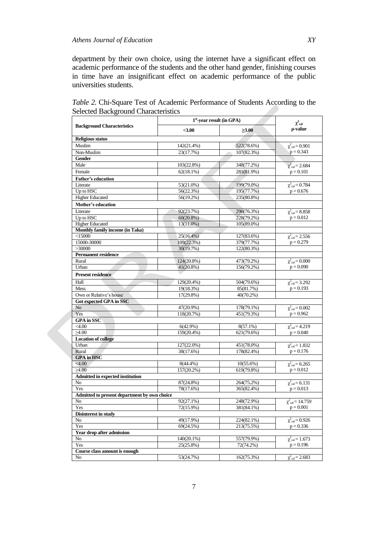department by their own choice, using the internet have a significant effect on academic performance of the students and the other hand gender, finishing courses in time have an insignificant effect on academic performance of the public universities students.

|                                              | $1st$ -year result (in GPA) | $\chi^2$ cal            |                                              |  |
|----------------------------------------------|-----------------------------|-------------------------|----------------------------------------------|--|
| <b>Background Characteristics</b>            | $3.00$                      | $\geq 3.00$             | p-value                                      |  |
| <b>Religious status</b>                      |                             |                         |                                              |  |
| Muslim                                       | 142(21.4%)                  | 522(78.6%)              | $\chi^2_{\text{cal}} = 0.901$                |  |
| Non-Muslim                                   | 23(17.7%)                   | 107(82.3%)              | $p = 0.343$                                  |  |
| <b>Gender</b>                                |                             |                         |                                              |  |
| Male                                         | 103(22.8%)                  | 348(77.2%)              | $\chi^2_{\text{cal}} = 2.684$                |  |
| Female                                       | 62(18.1%)                   | 281(81.9%)              | $p = 0.101$                                  |  |
| <b>Father's education</b>                    |                             |                         |                                              |  |
| Literate                                     | 53(21.0%)                   | 199(79.0%)              | $\chi^2_{\text{cal}} = 0.784$                |  |
| Up to HSC                                    | 56(22.3%)                   | 195(77.7%)              | $p = 0.676$                                  |  |
| <b>Higher Educated</b>                       | 56(19.2%)                   | 235(80.8%)              |                                              |  |
| <b>Mother's education</b>                    |                             |                         |                                              |  |
| Literate                                     | 92(23.7%)                   | 296(76.3%)              | $\chi^2_{\text{cal}} = 8.858$                |  |
| Up to HSC                                    | $60(20.8\%)$                | 228(79.2%)              | $p = 0.012$                                  |  |
| <b>Higher Educated</b>                       | 13(11.0%)                   | 105(89.0%)              |                                              |  |
| Monthly family income (in Taka)              |                             |                         |                                              |  |
| $<$ 15000                                    | $25(16.4\%)$                | 127(83.6%)              | $\chi^2_{\text{cal}} = 2.556$                |  |
| 15000-30000                                  | 109(22.3%)                  | 379(77.7%)              | $p = 0.279$                                  |  |
| >30000                                       | 30(19.7%)                   | 122(80.3%)              |                                              |  |
| <b>Permanent residence</b>                   |                             |                         |                                              |  |
| Rural                                        | 124(20.8%)                  | 473(79.2%)              | $\chi^2_{\text{cal}} = 0.000$                |  |
| Urban                                        | $41(20.8\%)$                | 156(79.2%)              | $p = 0.090$                                  |  |
| <b>Present residence</b>                     |                             |                         |                                              |  |
| Hall                                         | 129(20.4%)                  | 504(79.6%)              | $\chi^2_{\text{cal}} = 3.292$                |  |
| <b>Mess</b>                                  | 19(18.3%)                   | 85(81.7%)               | $p = 0.193$                                  |  |
| Own or Relative's house                      | 17(29.8%)                   | 40(70.2%)               |                                              |  |
| Got expected GPA in SSC                      |                             |                         |                                              |  |
| No                                           | 47(20.9%)                   | 178(79.1%)              | $\chi^2_{\text{cal}} = 0.002$                |  |
| Yes                                          | 118(20.7%)                  | 451(79.3%)              | $p = 0.962$                                  |  |
| <b>GPA</b> in SSC                            |                             |                         |                                              |  |
| $<$ 4.00                                     | 6(42.9%)                    | $8(57.1\%)$             | $\chi^2_{\text{cal}} = 4.219$                |  |
| $\geq 4.00$                                  | 159(20.4%)                  | 621(79.6%)              | $p = 0.040$                                  |  |
| <b>Location of college</b>                   |                             |                         |                                              |  |
| Urban                                        | 127(22.0%)                  | 451(78.0%)              | $\chi^2_{\text{cal}} = 1.832$                |  |
| Rural                                        | 38(17.6%)                   | 178(82.4%)              | $p = 0.176$                                  |  |
| <b>GPA</b> in HSC                            |                             |                         |                                              |  |
| <4.00                                        | 8(44.4%)                    | $10(55.6\%)$            | $\chi^{2}$ cal = 6.265                       |  |
| $\geq 4.00$                                  | 157(20.2%)                  | 619(79.8%)              | $p = 0.012$                                  |  |
| <b>Admitted in expected institution</b>      |                             |                         |                                              |  |
| No                                           | 87(24.8%)                   | 264(75.2%)              | $\chi^2_{\text{cal}} = 6.131$                |  |
| Yes                                          | 78(17.6%)                   | 365(82.4%)              | $p = 0.013$                                  |  |
| Admitted to present department by own choice |                             |                         |                                              |  |
| No                                           | 92(27.1%)                   | 248(72.9%)              | $\chi^2_{cal} = 14.759$                      |  |
| Yes                                          | 72(15.9%)                   | 381(84.1%)              | $p = 0.001$                                  |  |
| <b>Disinterest in study</b>                  |                             |                         |                                              |  |
| No                                           | 49(17.9%)                   | 224(82.1%)              | $\chi^2_{\text{cal}} = 0.926$<br>$p = 0.336$ |  |
| Yes                                          | 69(24.5%)                   | 213(75.5%)              |                                              |  |
| Year drop after admission                    |                             |                         |                                              |  |
| No<br>Yes                                    | 140(20.1%)<br>25(25.8%)     | 557(79.9%)<br>72(74.2%) | $\chi^2_{\text{cal}} = 1.673$<br>$p = 0.196$ |  |
| Course class amount is enough                |                             |                         |                                              |  |
| No                                           | 53(24.7%)                   | 162(75.3%)              | $\chi^2_{\text{cal}} = 2.683$                |  |
|                                              |                             |                         |                                              |  |

*Table 2.* Chi-Square Test of Academic Performance of Students According to the Selected Background Characteristics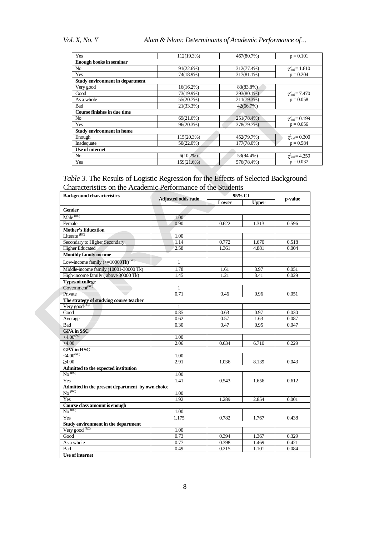*Vol. X, No. Y Alam & Islam: Determinants of Academic Performance of…*

| Yes                                    | 112(19.3%)   | 467(80.7%) | $p = 0.101$                   |  |
|----------------------------------------|--------------|------------|-------------------------------|--|
| <b>Enough books in seminar</b>         |              |            |                               |  |
| N <sub>o</sub>                         | 91(22.6%)    | 312(77.4%) | $\chi^2_{\text{cal}} = 1.610$ |  |
| Yes                                    | 74(18.9%)    | 317(81.1%) | $p = 0.204$                   |  |
| <b>Study environment in department</b> |              |            |                               |  |
| Very good                              | $16(16.2\%)$ | 83(83.8%)  |                               |  |
| Good                                   | 73(19.9%)    | 293(80.1%) | $\chi^2_{\text{cal}} = 7.470$ |  |
| As a whole                             | 55(20.7%)    | 211(79.3%) | $p = 0.058$                   |  |
| Bad                                    | 21(33.3%)    | 42(66.7%)  |                               |  |
| Course finishes in due time            |              |            |                               |  |
| N <sub>o</sub>                         | 69(21.6%)    | 251(78.4%) | $\chi^2_{\text{cal}} = 0.199$ |  |
| Yes                                    | 96(20.3%)    | 378(79.7%) | $p = 0.656$                   |  |
| <b>Study environment in home</b>       |              |            |                               |  |
| Enough                                 | 115(20.3%)   | 452(79.7%) | $\chi^2_{\text{cal}} = 0.300$ |  |
| Inadequate                             | $50(22.0\%)$ | 177(78.0%) | $p = 0.584$                   |  |
| Use of internet                        |              |            |                               |  |
| N <sub>o</sub>                         | $6(10.2\%)$  | 53(94.4%)  | $\chi^2_{\text{cal}} = 4.359$ |  |
| Yes                                    | 159(21.6%)   | 576(78.4%) | $p = 0.037$                   |  |

# *Table 3.* The Results of Logistic Regression for the Effects of Selected Background Characteristics on the Academic Performance of the Students

| <b>Background characteristics</b>                   | <b>Adjusted odds ratio</b> | 95% CI |              | p-value |
|-----------------------------------------------------|----------------------------|--------|--------------|---------|
|                                                     |                            | Lower  | <b>Upper</b> |         |
| <b>Gender</b>                                       |                            |        |              |         |
| Male <sup>(RC)</sup>                                | 1.00                       |        |              |         |
| Female                                              | 0.90                       | 0.622  | 1.313        | 0.596   |
| <b>Mother's Education</b>                           |                            |        |              |         |
| Literate <sup>(RC)</sup>                            | 1.00                       |        |              |         |
| Secondary to Higher Secondary                       | 1.14                       | 0.772  | 1.670        | 0.518   |
| <b>Higher Educated</b>                              | 2.58                       | 1.361  | 4.881        | 0.004   |
| <b>Monthly family income</b>                        |                            |        |              |         |
| Low-income family $(>=10000$ Tk $)$ <sup>(RC)</sup> | $\mathbf{1}$               |        |              |         |
| Middle-income family (10001-30000 Tk)               | 1.78                       | 1.61   | 3.97         | 0.051   |
| High-income family (above 30000 Tk)                 | 1.45                       | 1.21   | 3.41         | 0.029   |
| <b>Types of college</b>                             |                            |        |              |         |
| Government <sup>(RC)</sup>                          | 1                          |        |              |         |
| Private                                             | 0.71                       | 0.46   | 0.96         | 0.051   |
| The strategy of studying course teacher             |                            |        |              |         |
| Very good $\overline{\text{RC}}$                    | 1                          |        |              |         |
| Good                                                | 0.85                       | 0.63   | 0.97         | 0.030   |
| Average                                             | 0.62                       | 0.57   | 1.63         | 0.087   |
| Bad                                                 | 0.30                       | 0.47   | 0.95         | 0.047   |
| <b>GPA</b> in SSC                                   |                            |        |              |         |
| $<$ 4.00 $^{(RC)}$                                  | 1.00                       |        |              |         |
| $\geq 4.00$                                         | 2.06                       | 0.634  | 6.710        | 0.229   |
| <b>GPA</b> in HSC                                   |                            |        |              |         |
| $<$ 4.00 $^{(RC)}$                                  | 1.00                       |        |              |         |
| >4.00                                               | 2.91                       | 1.036  | 8.139        | 0.043   |
| Admitted to the expected institution                |                            |        |              |         |
| No <sup>(RC)</sup>                                  | 1.00                       |        |              |         |
| Yes                                                 | 1.41                       | 0.543  | 1.656        | 0.612   |
| Admitted in the present department by own choice    |                            |        |              |         |
| No <sup>(RC)</sup>                                  | 1.00                       |        |              |         |
| Yes                                                 | 1.92                       | 1.289  | 2.854        | 0.001   |
| Course class amount is enough                       |                            |        |              |         |
| No <sup>(RC)</sup>                                  | 1.00                       |        |              |         |
| Yes                                                 | 1.175                      | 0.782  | 1.767        | 0.438   |
| Study environment in the department                 |                            |        |              |         |
| Very good <sup>(RC)</sup>                           | 1.00                       |        |              |         |
| Good                                                | 0.73                       | 0.394  | 1.367        | 0.329   |
| As a whole                                          | 0.77                       | 0.398  | 1.469        | 0.421   |
| Bad<br><b>Use of internet</b>                       | 0.49                       | 0.215  | 1.101        | 0.084   |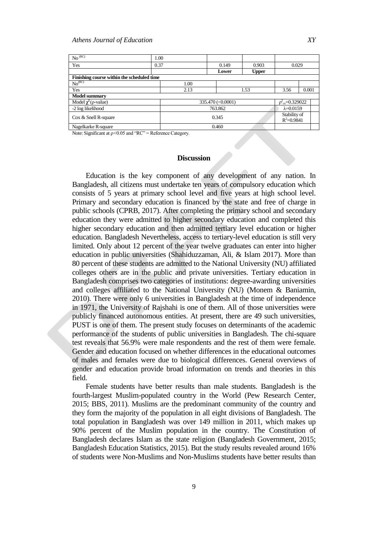| No <sup>(RC)</sup>                         | 1.00 |         |                    |                                |                              |       |
|--------------------------------------------|------|---------|--------------------|--------------------------------|------------------------------|-------|
| Yes                                        | 0.37 |         | 0.149              | 0.903                          | 0.029                        |       |
|                                            |      |         | Lower              | <b>Upper</b>                   |                              |       |
| Finishing course within the scheduled time |      |         |                    |                                |                              |       |
| No <sup>(RC)</sup>                         |      | 1.00    |                    |                                |                              |       |
| Yes                                        |      | 2.13    |                    | 1.53                           | 3.56                         | 0.001 |
| <b>Model summary</b>                       |      |         |                    |                                |                              |       |
| Model $\chi^2$ ( $\rho$ -value)            |      |         | 335.470 (< 0.0001) |                                | $p_{\text{cv}}^2$ = 0.329022 |       |
| -2 log likelihood                          |      | 763.862 |                    |                                | $\lambda = 0.0159$           |       |
| $\cos \&$ Snell R-square                   |      | 0.345   |                    | Stability of<br>$R^2 = 0.9841$ |                              |       |
| Nagelkarke R-square                        |      | 0.460   |                    |                                |                              |       |

Note: Significant at  $p < 0.05$  and "RC" = Reference Category.

#### **Discussion**

Education is the key component of any development of any nation. In Bangladesh, all citizens must undertake ten years of compulsory education which consists of 5 years at primary school level and five years at high school level. Primary and secondary education is financed by the state and free of charge in public schools (CPRB, 2017). After completing the primary school and secondary education they were admitted to higher secondary education and completed this higher secondary education and then admitted tertiary level education or higher education. Bangladesh Nevertheless, access to tertiary-level education is still very limited. Only about 12 percent of the year twelve graduates can enter into higher education in public universities (Shahiduzzaman, Ali, & Islam 2017). More than 80 percent of these students are admitted to the National University (NU) affiliated colleges others are in the public and private universities. Tertiary education in Bangladesh comprises two categories of institutions: degree-awarding universities and colleges affiliated to the National University (NU) (Monem & Baniamin, 2010). There were only 6 universities in Bangladesh at the time of independence in 1971, the University of Rajshahi is one of them. All of those universities were publicly financed autonomous entities. At present, there are 49 such universities, PUST is one of them. The present study focuses on determinants of the academic performance of the students of public universities in Bangladesh. The chi-square test reveals that 56.9% were male respondents and the rest of them were female. Gender and education focused on whether differences in the educational outcomes of males and females were due to biological differences. General overviews of gender and education provide broad information on trends and theories in this field.

Female students have better results than male students. Bangladesh is the fourth-largest Muslim-populated country in the World (Pew Research Center, 2015; BBS, 2011). Muslims are the predominant community of the country and they form the majority of the population in all eight divisions of Bangladesh. The total population in Bangladesh was over 149 million in 2011, which makes up 90% percent of the Muslim population in the country. The Constitution of Bangladesh declares Islam as the state religion (Bangladesh Government, 2015; Bangladesh Education Statistics, 2015). But the study results revealed around 16% of students were Non-Muslims and Non-Muslims students have better results than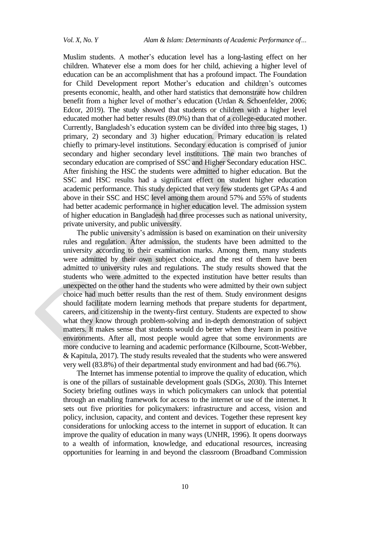Muslim students. A mother"s education level has a long-lasting effect on her children. Whatever else a mom does for her child, achieving a higher level of education can be an accomplishment that has a profound impact. The Foundation for Child Development report Mother"s education and children"s outcomes presents economic, health, and other hard statistics that demonstrate how children benefit from a higher level of mother"s education [\(Urdan](https://www.sciencedirect.com/science/article/pii/S0022440506000380#!) & [Schoenfelder,](https://www.sciencedirect.com/science/article/pii/S0022440506000380#!) 2006; Edcor, 2019). The study showed that students or children with a [higher level](https://www.fcd-us.org/assets/2016/04/Mothers-Education-and-Childrens-Outcomes-FINAL.pdf)  [educated mother](https://www.fcd-us.org/assets/2016/04/Mothers-Education-and-Childrens-Outcomes-FINAL.pdf) had better results (89.0%) than that of a [college-educated mother.](https://www.fcd-us.org/assets/2016/04/Mothers-Education-and-Childrens-Outcomes-FINAL.pdf) Currently, Bangladesh"s education system can be divided into three big stages, 1) primary, 2) secondary and 3) higher education. Primary education is related chiefly to primary-level institutions. Secondary education is comprised of junior secondary and higher secondary level institutions. The main two branches of secondary education are comprised of SSC and Higher Secondary education HSC. After finishing the HSC the students were admitted to higher education. But the SSC and HSC results had a significant effect on student higher education academic performance. This study depicted that very few students get GPAs 4 and above in their SSC and HSC level among them around 57% and 55% of students had better academic performance in higher education level. The admission system of higher education in Bangladesh had three processes such as national university, private university, and public university.

The public university's admission is based on examination on their university rules and regulation. After admission, the students have been admitted to the university according to their examination marks. Among them, many students were admitted by their own subject choice, and the rest of them have been admitted to university rules and regulations. The study results showed that the students who were admitted to the expected institution have better results than unexpected on the other hand the students who were admitted by their own subject choice had much better results than the rest of them. Study environment designs should facilitate modern learning methods that prepare students for department, careers, and citizenship in the twenty-first century. Students are expected to show what they know through problem-solving and in-depth demonstration of subject matters. It makes sense that students would do better when they learn in positive environments. After all, most people would agree that some environments are more conducive to learning and academic performance (Kilbourne, Scott-Webber, & Kapitula, 2017). The study results revealed that the students who were answered very well (83.8%) of their departmental study environment and had bad (66.7%).

The Internet has immense potential to improve the quality of education, which is one of the pillars of sustainable development goals (SDGs, 2030). This Internet Society briefing outlines ways in which policymakers can unlock that potential through an enabling framework for access to the internet or use of the internet. It sets out five priorities for policymakers: infrastructure and access, vision and policy, inclusion, capacity, and content and devices. Together these represent key considerations for unlocking access to the internet in support of education. It can improve the quality of education in many ways (UNHR, 1996). It opens doorways to a wealth of information, knowledge, and educational resources, increasing opportunities for learning in and beyond the classroom (Broadband Commission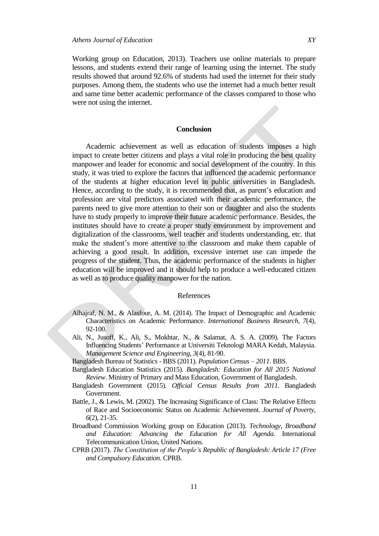Working group on Education, 2013). Teachers use online materials to prepare lessons, and students extend their range of learning using the internet. The study results showed that around 92.6% of students had used the internet for their study purposes. Among them, the students who use the internet had a much better result and same time better academic performance of the classes compared to those who were not using the internet.

## **Conclusion**

Academic achievement as well as education of students imposes a high impact to create better citizens and plays a vital role in producing the best quality manpower and leader for economic and social development of the country. In this study, it was tried to explore the factors that influenced the academic performance of the students at higher education level in public universities in Bangladesh. Hence, according to the study, it is recommended that, as parent's education and profession are vital predictors associated with their academic performance, the parents need to give more attention to their son or daughter and also the students have to study properly to improve their future academic performance. Besides, the institutes should have to create a proper study environment by improvement and digitalization of the classrooms, well teacher and students understanding, etc. that make the student"s more attentive to the classroom and make them capable of achieving a good result. In addition, excessive internet use can impede the progress of the student. Thus, the academic performance of the students in higher education will be improved and it should help to produce a well-educated citizen as well as to produce quality manpower for the nation.

#### References

- Alhajraf, N. M., & Alasfour, A. M. (2014). The Impact of Demographic and Academic Characteristics on Academic Performance. *International Business Research, 7*(4), 92-100.
- Ali, N., Jusoff, K., Ali, S., Mokhtar, N., & Salamat, A. S. A. (2009). The Factors Influencing Students" Performance at Universiti Teknologi MARA Kedah, Malaysia. *Management Science and Engineering, 3*(4), 81-90.
- Bangladesh Bureau of Statistics BBS (2011). *Population Census – 2011*. BBS.
- Bangladesh Education Statistics (2015). *[Bangladesh: Education for All 2015 National](http://unesdoc.unesco.org/images/0023/002305/230507e.pdf)  [Review](http://unesdoc.unesco.org/images/0023/002305/230507e.pdf)*. Ministry of Primary and Mass Education, Government of Bangladesh.
- Bangladesh Government (2015). *Official Census Results from 2011*. Bangladesh Government.
- Battle, J., & Lewis, M. (2002). The Increasing Significance of Class: The Relative Effects of Race and Socioeconomic Status on Academic Achievement. *Journal of Poverty, 6*(2), 21-35.
- Broadband Commission Working group on Education (2013). *Technology, Broadband and Education: Advancing the Education for All Agenda*. International Telecommunication Union, United Nations.
- CPRB (2017). *The Constitution of the People's Republic of Bangladesh: Article 17 (Free and Compulsory Education*. CPRB.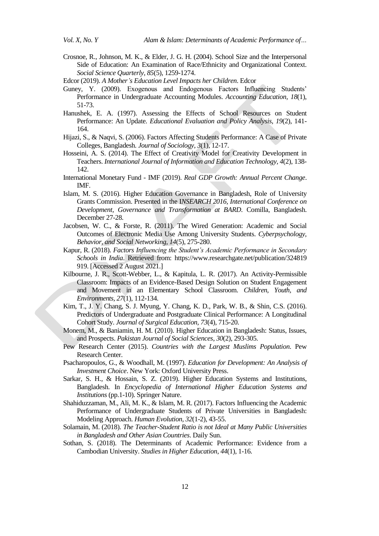- Crosnoe, R., Johnson, M. K., & Elder, J. G. H. (2004). School Size and the Interpersonal Side of Education: An Examination of Race/Ethnicity and Organizational Context. *Social Science Quarterly, 85*(5), 1259-1274.
- Edcor (2019). *A Mother's Education Level Impacts her Children*. Edcor
- Guney, Y. (2009). Exogenous and Endogenous Factors Influencing Students" Performance in Undergraduate Accounting Modules. *Accounting Education*, *18*(1), 51-73.
- Hanushek, E. A. (1997). Assessing the Effects of School Resources on Student Performance: An Update. *Educational Evaluation and Policy Analysis, 19*(2), 141- 164.
- Hijazi, S., & Naqvi, S. (2006). Factors Affecting Students Performance: A Case of Private Colleges, Bangladesh. *Journal of Sociology, 3*(1), 12-17.
- Hosseini, A. S. (2014). The Effect of Creativity Model for Creativity Development in Teachers. *International Journal of Information and Education Technology, 4*(2), 138- 142.
- International Monetary Fund IMF (2019). *Real GDP Growth: Annual Percent Change*. IMF.
- Islam, M. S. (2016). Higher Education Governance in Bangladesh, Role of University Grants Commission. Presented in the I*NSEARCH 2016, International Conference on Development, Governance and Transformation at BARD*. Comilla, Bangladesh. December 27-28.
- Jacobsen, W. C., & Forste, R. (2011). The Wired Generation: Academic and Social Outcomes of Electronic Media Use Among University Students. *Cyberpsychology, Behavior, and Social Networking, 14*(5), 275-280.
- Kapur, R. (2018). *Factors Influencing the Student's Academic Performance in Secondary Schools in India*. Retrieved from: https://www.researchgate.net/publication/324819 919. [Accessed 2 August 2021.]
- Kilbourne, J. R., Scott-Webber, L., & Kapitula, L. R. (2017). An Activity-Permissible Classroom: Impacts of an Evidence-Based Design Solution on Student Engagement and Movement in an Elementary School Classroom. *Children, Youth, and Environments, 27*(1), 112-134.
- Kim, T., J. Y. Chang, S. J. Myung, Y. Chang, K. D., Park, W. B., & Shin, C.S. (2016). Predictors of Undergraduate and Postgraduate Clinical Performance: A Longitudinal Cohort Study. *Journal of Surgical Education, 73*(4), 715-20.
- Monem, M., & Baniamin, H. M. (2010). Higher Education in Bangladesh: Status, Issues, and Prospects. *Pakistan Journal of Social Sciences*, *30*(2), 293-305.
- Pew Research Center (2015). *Countries with the Largest Muslims Population*. Pew Research Center.
- Psacharopoulos, G., & Woodhall, M. (1997). *Education for Development: An Analysis of Investment Choice*. New York: Oxford University Press.
- Sarkar, S. H., & Hossain, S. Z. (2019). Higher Education Systems and Institutions, Bangladesh. In *Encyclopedia of International Higher Education Systems and Institutions* (pp.1-10). Springer Nature.
- Shahiduzzaman, M., Ali, M. K., & Islam, M. R. (2017). Factors Influencing the Academic Performance of Undergraduate Students of Private Universities in Bangladesh: Modeling Approach. *Human Evolution, 32*(1-2), 43-55.
- Solamain, M. (2018). *The Teacher-Student Ratio is not Ideal at Many Public Universities in Bangladesh and Other Asian Countries*. Daily Sun.
- Sothan, S. (2018). The Determinants of Academic Performance: Evidence from a Cambodian University. *Studies in Higher Education*, *44*(1), 1-16.